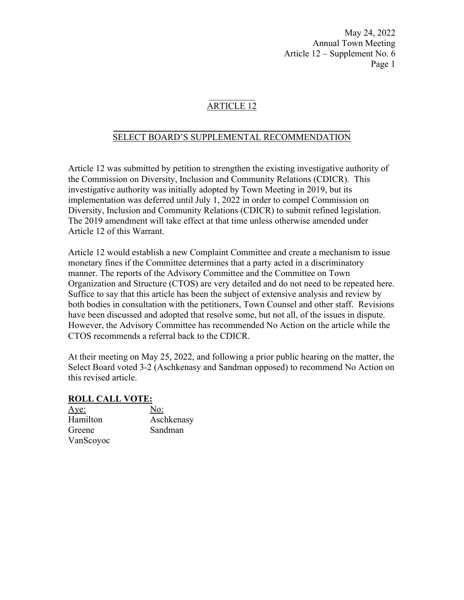### ARTICLE 12

### $\frac{1}{2}$  ,  $\frac{1}{2}$  ,  $\frac{1}{2}$  ,  $\frac{1}{2}$  ,  $\frac{1}{2}$  ,  $\frac{1}{2}$  ,  $\frac{1}{2}$  ,  $\frac{1}{2}$  ,  $\frac{1}{2}$  ,  $\frac{1}{2}$  ,  $\frac{1}{2}$  ,  $\frac{1}{2}$  ,  $\frac{1}{2}$  ,  $\frac{1}{2}$  ,  $\frac{1}{2}$  ,  $\frac{1}{2}$  ,  $\frac{1}{2}$  ,  $\frac{1}{2}$  ,  $\frac{1$ SELECT BOARD'S SUPPLEMENTAL RECOMMENDATION

Article 12 was submitted by petition to strengthen the existing investigative authority of the Commission on Diversity, Inclusion and Community Relations (CDICR). This investigative authority was initially adopted by Town Meeting in 2019, but its implementation was deferred until July 1, 2022 in order to compel Commission on Diversity, Inclusion and Community Relations (CDICR) to submit refined legislation. The 2019 amendment will take effect at that time unless otherwise amended under Article 12 of this Warrant.

Article 12 would establish a new Complaint Committee and create a mechanism to issue monetary fines if the Committee determines that a party acted in a discriminatory manner. The reports of the Advisory Committee and the Committee on Town Organization and Structure (CTOS) are very detailed and do not need to be repeated here. Suffice to say that this article has been the subject of extensive analysis and review by both bodies in consultation with the petitioners, Town Counsel and other staff. Revisions have been discussed and adopted that resolve some, but not all, of the issues in dispute. However, the Advisory Committee has recommended No Action on the article while the CTOS recommends a referral back to the CDICR.

At their meeting on May 25, 2022, and following a prior public hearing on the matter, the Select Board voted 3-2 (Aschkenasy and Sandman opposed) to recommend No Action on this revised article.

### **ROLL CALL VOTE:**

| Aye:      | No:        |
|-----------|------------|
| Hamilton  | Aschkenasy |
| Greene    | Sandman    |
| VanScoyoc |            |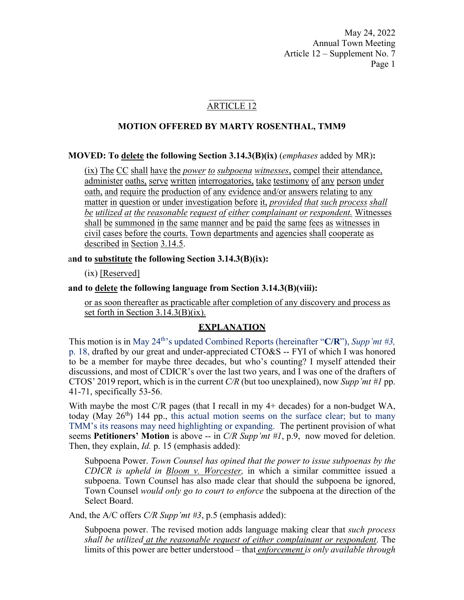### ARTICLE 12

### **MOTION OFFERED BY MARTY ROSENTHAL, TMM9**

**MOVED: To delete the following Section 3.14.3(B)(ix)** (*emphases* added by MR)**:** 

(ix) The CC shall have the *power to subpoena witnesses*, compel their attendance, administer oaths, serve written interrogatories, take testimony of any person under oath, and require the production of any evidence and/or answers relating to any matter in question or under investigation before it, *provided that such process shall be utilized at the reasonable request of either complainant or respondent.* Witnesses shall be summoned in the same manner and be paid the same fees as witnesses in civil cases before the courts. Town departments and agencies shall cooperate as described in Section 3.14.5.

#### a**nd to substitute the following Section 3.14.3(B)(ix):**

(ix) [Reserved]

#### **and to delete the following language from Section 3.14.3(B)(viii):**

or as soon thereafter as practicable after completion of any discovery and process as set forth in Section 3.14.3(B)(ix).

### **EXPLANATION**

This motion is in May 24<sup>th</sup>'s updated Combined Reports (hereinafter "C/R"), *Supp'nt* #3, p. 18, drafted by our great and under-appreciated CTO&S -- FYI of which I was honored to be a member for maybe three decades, but who's counting? I myself attended their discussions, and most of CDICR's over the last two years, and I was one of the drafters of CTOS' 2019 report, which is in the current *C/R* (but too unexplained), now *Supp'mt #1* pp. 41-71, specifically 53-56.

With maybe the most C/R pages (that I recall in my 4+ decades) for a non-budget WA, today (May  $26<sup>th</sup>$ ) 144 pp., this actual motion seems on the surface clear; but to many TMM's its reasons may need highlighting or expanding. The pertinent provision of what seems **Petitioners' Motion** is above -- in *C/R Supp'mt #1*, p.9, now moved for deletion. Then, they explain, *Id.* p. 15 (emphasis added):

Subpoena Power. *Town Counsel has opined that the power to issue subpoenas by the CDICR is upheld in Bloom v. Worcester,* in which a similar committee issued a subpoena. Town Counsel has also made clear that should the subpoena be ignored, Town Counsel *would only go to court to enforce* the subpoena at the direction of the Select Board.

And, the A/C offers *C/R Supp'mt #3*, p.5 (emphasis added):

Subpoena power. The revised motion adds language making clear that *such process shall be utilized at the reasonable request of either complainant or respondent*. The limits of this power are better understood – that *enforcement is only available through*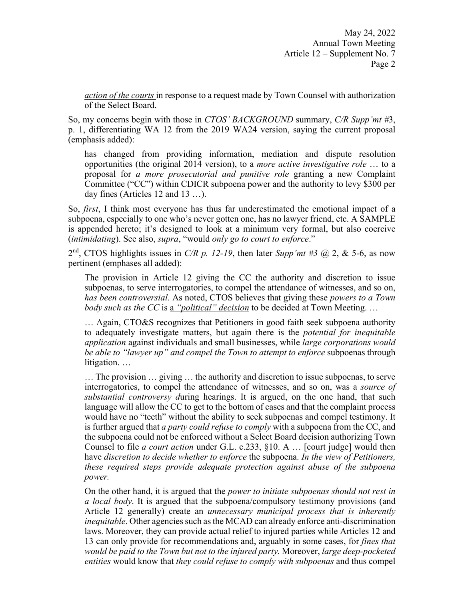*action of the courts* in response to a request made by Town Counsel with authorization of the Select Board.

So, my concerns begin with those in *CTOS' BACKGROUND* summary, *C/R Supp'mt #*3, p. 1, differentiating WA 12 from the 2019 WA24 version, saying the current proposal (emphasis added):

has changed from providing information, mediation and dispute resolution opportunities (the original 2014 version), to a *more active investigative role* … to a proposal for *a more prosecutorial and punitive role* granting a new Complaint Committee ("CC") within CDICR subpoena power and the authority to levy \$300 per day fines (Articles 12 and 13 …).

So, *first*, I think most everyone has thus far underestimated the emotional impact of a subpoena, especially to one who's never gotten one, has no lawyer friend, etc. A SAMPLE is appended hereto; it's designed to look at a minimum very formal, but also coercive (*intimidating*). See also, *supra*, "would *only go to court to enforce*."

2nd, CTOS highlights issues in *C/R p. 12-19*, then later *Supp'mt #3* @ 2, & 5-6, as now pertinent (emphases all added):

The provision in Article 12 giving the CC the authority and discretion to issue subpoenas, to serve interrogatories, to compel the attendance of witnesses, and so on, *has been controversial*. As noted, CTOS believes that giving these *powers to a Town body such as the CC* is a *"political" decision* to be decided at Town Meeting. …

… Again, CTO&S recognizes that Petitioners in good faith seek subpoena authority to adequately investigate matters, but again there is the *potential for inequitable application* against individuals and small businesses, while *large corporations would be able to "lawyer up" and compel the Town to attempt to enforce* subpoenas through litigation. …

… The provision … giving … the authority and discretion to issue subpoenas, to serve interrogatories, to compel the attendance of witnesses, and so on, was a *source of substantial controversy d*uring hearings. It is argued, on the one hand, that such language will allow the CC to get to the bottom of cases and that the complaint process would have no "teeth" without the ability to seek subpoenas and compel testimony. It is further argued that *a party could refuse to comply* with a subpoena from the CC, and the subpoena could not be enforced without a Select Board decision authorizing Town Counsel to file *a court action* under G.L. c.233, §10. A … [court judge] would then have *discretion to decide whether to enforce* the subpoena. *In the view of Petitioners, these required steps provide adequate protection against abuse of the subpoena power.*

On the other hand, it is argued that the *power to initiate subpoenas should not rest in a local body*. It is argued that the subpoena/compulsory testimony provisions (and Article 12 generally) create an *unnecessary municipal process that is inherently inequitable*. Other agencies such as the MCAD can already enforce anti-discrimination laws. Moreover, they can provide actual relief to injured parties while Articles 12 and 13 can only provide for recommendations and, arguably in some cases, for *fines that would be paid to the Town but not to the injured party.* Moreover, *large deep-pocketed entities* would know that *they could refuse to comply with subpoenas* and thus compel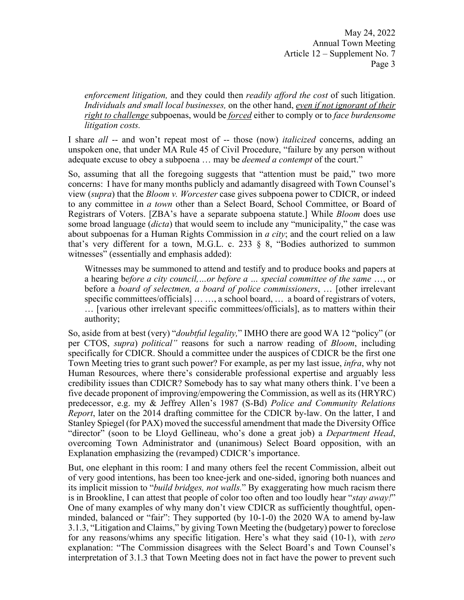*enforcement litigation,* and they could then *readily afford the cost* of such litigation. *Individuals and small local businesses,* on the other hand, *even if not ignorant of their right to challenge* subpoenas, would be *forced* either to comply or to *face burdensome litigation costs.* 

I share *all* -- and won't repeat most of -- those (now) *italicized* concerns, adding an unspoken one, that under MA Rule 45 of Civil Procedure, "failure by any person without adequate excuse to obey a subpoena … may be *deemed a contempt* of the court."

So, assuming that all the foregoing suggests that "attention must be paid," two more concerns: I have for many months publicly and adamantly disagreed with Town Counsel's view (*supra*) that the *Bloom v. Worcester* case gives subpoena power to CDICR, or indeed to any committee in *a town* other than a Select Board, School Committee, or Board of Registrars of Voters. [ZBA's have a separate subpoena statute.] While *Bloom* does use some broad language (*dicta*) that would seem to include any "municipality," the case was about subpoenas for a Human Rights Commission in *a city*; and the court relied on a law that's very different for a town, M.G.L. c. 233 § 8, "Bodies authorized to summon witnesses" (essentially and emphasis added):

Witnesses may be summoned to attend and testify and to produce books and papers at a hearing b*efore a city council,…or before a … special committee of the same* …, or before a *board of selectmen, a board of police commissioners*, … [other irrelevant specific committees/officials] … …, a school board, … a board of registrars of voters, … [various other irrelevant specific committees/officials], as to matters within their authority;

So, aside from at best (very) "*doubtful legality,*" IMHO there are good WA 12 "policy" (or per CTOS, *supra*) *political"* reasons for such a narrow reading of *Bloom*, including specifically for CDICR. Should a committee under the auspices of CDICR be the first one Town Meeting tries to grant such power? For example, as per my last issue, *infra*, why not Human Resources, where there's considerable professional expertise and arguably less credibility issues than CDICR? Somebody has to say what many others think. I've been a five decade proponent of improving/empowering the Commission, as well as its (HRYRC) predecessor, e.g. my & Jeffrey Allen's 1987 (S-Bd) *Police and Community Relations Report*, later on the 2014 drafting committee for the CDICR by-law. On the latter, I and Stanley Spiegel (for PAX) moved the successful amendment that made the Diversity Office "director" (soon to be Lloyd Gellineau, who's done a great job) a *Department Head*, overcoming Town Administrator and (unanimous) Select Board opposition, with an Explanation emphasizing the (revamped) CDICR's importance.

But, one elephant in this room: I and many others feel the recent Commission, albeit out of very good intentions, has been too knee-jerk and one-sided, ignoring both nuances and its implicit mission to "*build bridges, not walls.*" By exaggerating how much racism there is in Brookline, I can attest that people of color too often and too loudly hear "*stay away!*" One of many examples of why many don't view CDICR as sufficiently thoughtful, openminded, balanced or "fair": They supported (by 10-1-0) the 2020 WA to amend by-law 3.1.3, "Litigation and Claims," by giving Town Meeting the (budgetary) power to foreclose for any reasons/whims any specific litigation. Here's what they said (10-1), with *zero*  explanation: "The Commission disagrees with the Select Board's and Town Counsel's interpretation of 3.1.3 that Town Meeting does not in fact have the power to prevent such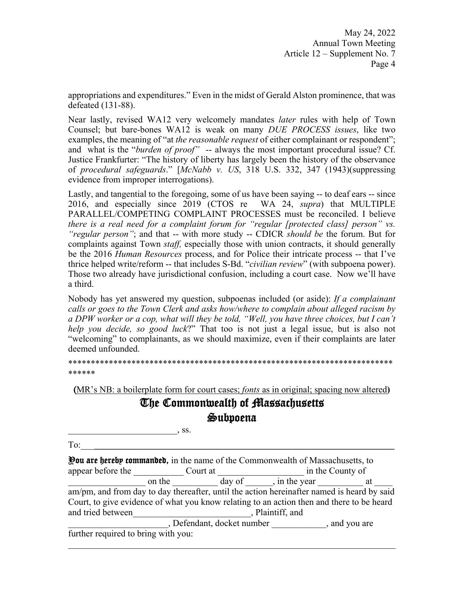appropriations and expenditures." Even in the midst of Gerald Alston prominence, that was defeated (131-88).

Near lastly, revised WA12 very welcomely mandates *later* rules with help of Town Counsel; but bare-bones WA12 is weak on many *DUE PROCESS issues*, like two examples, the meaning of "at *the reasonable request* of either complainant or respondent"; and what is the "*burden of proof*" -- always the most important procedural issue? Cf. Justice Frankfurter: "The history of liberty has largely been the history of the observance of *procedural safeguards*." [*McNabb v. US*, 318 U.S. 332, 347 (1943)(suppressing evidence from improper interrogations).

Lastly, and tangential to the foregoing, some of us have been saying -- to deaf ears -- since 2016, and especially since 2019 (CTOS re WA 24, *supra*) that MULTIPLE PARALLEL/COMPETING COMPLAINT PROCESSES must be reconciled. I believe *there is a real need for a complaint forum for "regular [protected class] person" vs. "regular person"*; and that -- with more study -- CDICR *should be* the forum. But for complaints against Town *staff,* especially those with union contracts, it should generally be the 2016 *Human Resources* process, and for Police their intricate process -- that I've thrice helped write/reform -- that includes S-Bd. "*civilian review*" (with subpoena power). Those two already have jurisdictional confusion, including a court case. Now we'll have a third.

Nobody has yet answered my question, subpoenas included (or aside): *If a complainant calls or goes to the Town Clerk and asks how/where to complain about alleged racism by a DPW worker or a cop, what will they be told, "Well, you have three choices, but I can't help you decide, so good luck*?" That too is not just a legal issue, but is also not "welcoming" to complainants, as we should maximize, even if their complaints are later deemed unfounded.

\*\*\*\*\*\*\*\*\*\*\*\*\*\*\*\*\*\*\*\*\*\*\*\*\*\*\*\*\*\*\*\*\*\*\*\*\*\*\*\*\*\*\*\*\*\*\*\*\*\*\*\*\*\*\*\*\*\*\*\*\*\*\*\*\*\*\*\*\*\*\*\* \*\*\*\*\*\*

(MR's NB: a boilerplate form for court cases; *fonts* as in original; spacing now altered**)**

# The Commonwealth of Massachusetts Subpoena

| ᠁<br>TV. |  |  |  |
|----------|--|--|--|
|          |  |  |  |

| <b>Pou are hereby commanded,</b> in the name of the Commonwealth of Massachusetts, to      |        |                            |                      |                  |
|--------------------------------------------------------------------------------------------|--------|----------------------------|----------------------|------------------|
| appear before the                                                                          |        | Court at                   |                      | in the County of |
|                                                                                            | on the |                            | day of , in the year | at               |
| am/pm, and from day to day thereafter, until the action hereinafter named is heard by said |        |                            |                      |                  |
| Court, to give evidence of what you know relating to an action then and there to be heard  |        |                            |                      |                  |
| and tried between                                                                          |        |                            | , Plaintiff, and     |                  |
|                                                                                            |        | , Defendant, docket number |                      | , and you are    |
| further required to bring with you:                                                        |        |                            |                      |                  |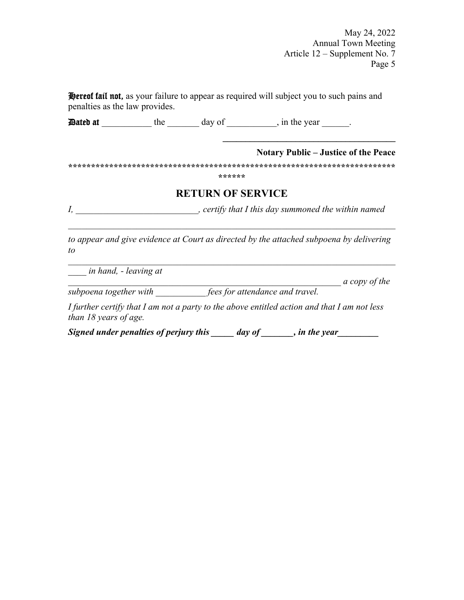**Hereof fail not,** as your failure to appear as required will subject you to such pains and penalties as the law provides.

Dated at the day of in the year  $\Box$ .

### **Notary Public – Justice of the Peace**

 $\mathcal{L}=\{1,2,3,4,5\}$ 

**\*\*\*\*\*\*\*\*\*\*\*\*\*\*\*\*\*\*\*\*\*\*\*\*\*\*\*\*\*\*\*\*\*\*\*\*\*\*\*\*\*\*\*\*\*\*\*\*\*\*\*\*\*\*\*\*\*\*\*\*\*\*\*\*\*\*\*\*\*\*\*\***

**\*\*\*\*\*\*** 

# **RETURN OF SERVICE**

*I, \_\_\_\_\_\_\_\_\_\_\_\_\_\_\_\_\_\_\_\_\_\_\_\_\_\_\_, certify that I this day summoned the within named* 

*to appear and give evidence at Court as directed by the attached subpoena by delivering to* 

*\_\_\_\_ in hand, - leaving at* 

 $a$  copy of the

*subpoena together with \_\_\_\_\_\_\_\_\_\_\_ fees for attendance and travel.* 

*I further certify that I am not a party to the above entitled action and that I am not less than 18 years of age.* 

*Signed under penalties of perjury this \_\_\_\_\_ day of \_\_\_\_\_\_, in the year \_\_\_\_\_\_\_*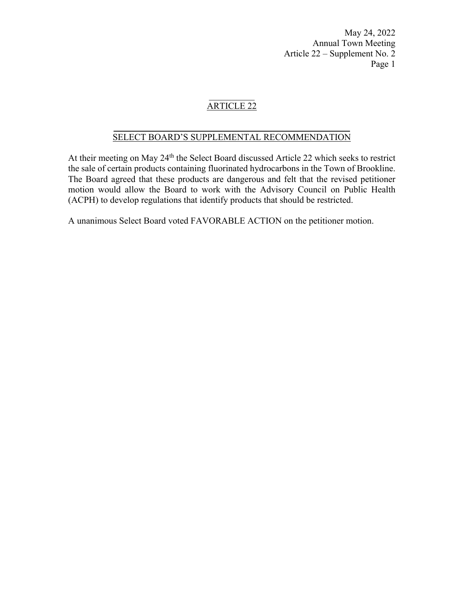# ARTICLE 22

#### $\frac{1}{2}$  ,  $\frac{1}{2}$  ,  $\frac{1}{2}$  ,  $\frac{1}{2}$  ,  $\frac{1}{2}$  ,  $\frac{1}{2}$  ,  $\frac{1}{2}$  ,  $\frac{1}{2}$  ,  $\frac{1}{2}$  ,  $\frac{1}{2}$  ,  $\frac{1}{2}$  ,  $\frac{1}{2}$  ,  $\frac{1}{2}$  ,  $\frac{1}{2}$  ,  $\frac{1}{2}$  ,  $\frac{1}{2}$  ,  $\frac{1}{2}$  ,  $\frac{1}{2}$  ,  $\frac{1$ SELECT BOARD'S SUPPLEMENTAL RECOMMENDATION

At their meeting on May 24<sup>th</sup> the Select Board discussed Article 22 which seeks to restrict the sale of certain products containing fluorinated hydrocarbons in the Town of Brookline. The Board agreed that these products are dangerous and felt that the revised petitioner motion would allow the Board to work with the Advisory Council on Public Health (ACPH) to develop regulations that identify products that should be restricted.

A unanimous Select Board voted FAVORABLE ACTION on the petitioner motion.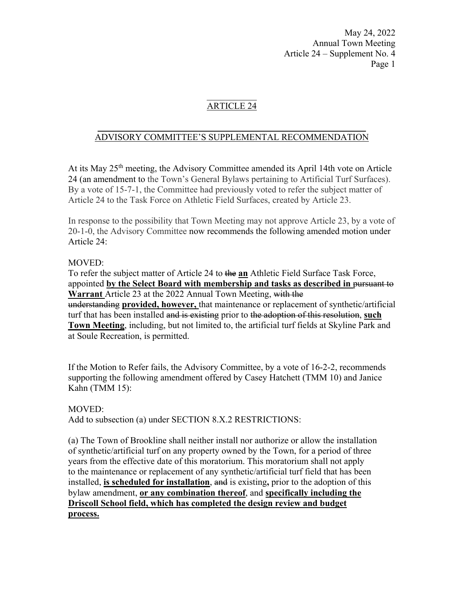# ARTICLE 24

### $\frac{1}{2}$  ,  $\frac{1}{2}$  ,  $\frac{1}{2}$  ,  $\frac{1}{2}$  ,  $\frac{1}{2}$  ,  $\frac{1}{2}$  ,  $\frac{1}{2}$  ,  $\frac{1}{2}$  ,  $\frac{1}{2}$  ,  $\frac{1}{2}$  ,  $\frac{1}{2}$  ,  $\frac{1}{2}$  ,  $\frac{1}{2}$  ,  $\frac{1}{2}$  ,  $\frac{1}{2}$  ,  $\frac{1}{2}$  ,  $\frac{1}{2}$  ,  $\frac{1}{2}$  ,  $\frac{1$ ADVISORY COMMITTEE'S SUPPLEMENTAL RECOMMENDATION

At its May 25<sup>th</sup> meeting, the Advisory Committee amended its April 14th vote on Article 24 (an amendment to the Town's General Bylaws pertaining to Artificial Turf Surfaces). By a vote of 15-7-1, the Committee had previously voted to refer the subject matter of Article 24 to the Task Force on Athletic Field Surfaces, created by Article 23.

In response to the possibility that Town Meeting may not approve Article 23, by a vote of 20-1-0, the Advisory Committee now recommends the following amended motion under Article 24:

### MOVED:

To refer the subject matter of Article 24 to the **an** Athletic Field Surface Task Force, appointed **by the Select Board with membership and tasks as described in** pursuant to **Warrant** Article 23 at the 2022 Annual Town Meeting, with the understanding **provided, however,** that maintenance or replacement of synthetic/artificial turf that has been installed and is existing prior to the adoption of this resolution, **such Town Meeting**, including, but not limited to, the artificial turf fields at Skyline Park and at Soule Recreation, is permitted.

If the Motion to Refer fails, the Advisory Committee, by a vote of 16-2-2, recommends supporting the following amendment offered by Casey Hatchett (TMM 10) and Janice Kahn (TMM 15):

### MOVED:

Add to subsection (a) under SECTION 8.X.2 RESTRICTIONS:

(a) The Town of Brookline shall neither install nor authorize or allow the installation of synthetic/artificial turf on any property owned by the Town, for a period of three years from the effective date of this moratorium. This moratorium shall not apply to the maintenance or replacement of any synthetic/artificial turf field that has been installed, **is scheduled for installation**, and is existing**,** prior to the adoption of this bylaw amendment, **or any combination thereof**, and **specifically including the Driscoll School field, which has completed the design review and budget process.**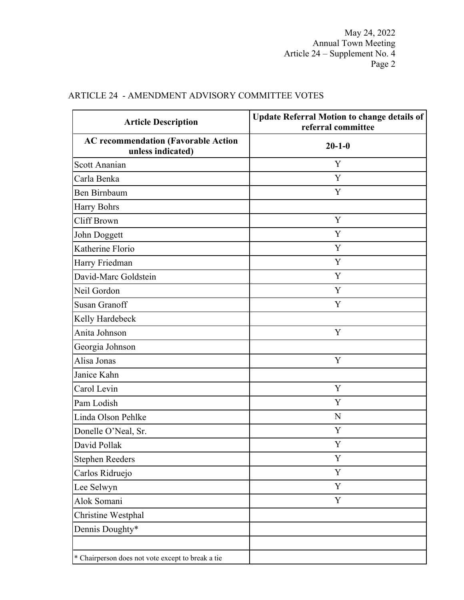| <b>Article Description</b>                                      | <b>Update Referral Motion to change details of</b><br>referral committee |  |  |
|-----------------------------------------------------------------|--------------------------------------------------------------------------|--|--|
| <b>AC recommendation (Favorable Action</b><br>unless indicated) | $20 - 1 - 0$                                                             |  |  |
| Scott Ananian                                                   | Y                                                                        |  |  |
| Carla Benka                                                     | Y                                                                        |  |  |
| Ben Birnbaum                                                    | Y                                                                        |  |  |
| <b>Harry Bohrs</b>                                              |                                                                          |  |  |
| Cliff Brown                                                     | Y                                                                        |  |  |
| John Doggett                                                    | Y                                                                        |  |  |
| Katherine Florio                                                | Y                                                                        |  |  |
| Harry Friedman                                                  | Y                                                                        |  |  |
| David-Marc Goldstein                                            | Y                                                                        |  |  |
| Neil Gordon                                                     | Y                                                                        |  |  |
| <b>Susan Granoff</b>                                            | Y                                                                        |  |  |
| Kelly Hardebeck                                                 |                                                                          |  |  |
| Anita Johnson                                                   | Y                                                                        |  |  |
| Georgia Johnson                                                 |                                                                          |  |  |
| Alisa Jonas                                                     | Y                                                                        |  |  |
| Janice Kahn                                                     |                                                                          |  |  |
| Carol Levin                                                     | Y                                                                        |  |  |
| Pam Lodish                                                      | Y                                                                        |  |  |
| Linda Olson Pehlke                                              | N                                                                        |  |  |
| Donelle O'Neal, Sr.                                             | Y                                                                        |  |  |
| David Pollak                                                    | Y                                                                        |  |  |
| <b>Stephen Reeders</b>                                          | $\mathbf Y$                                                              |  |  |
| Carlos Ridruejo                                                 | Y                                                                        |  |  |
| Lee Selwyn                                                      | Y                                                                        |  |  |
| Alok Somani                                                     | Y                                                                        |  |  |
| Christine Westphal                                              |                                                                          |  |  |
| Dennis Doughty*                                                 |                                                                          |  |  |
| * Chairperson does not vote except to break a tie               |                                                                          |  |  |

# ARTICLE 24 - AMENDMENT ADVISORY COMMITTEE VOTES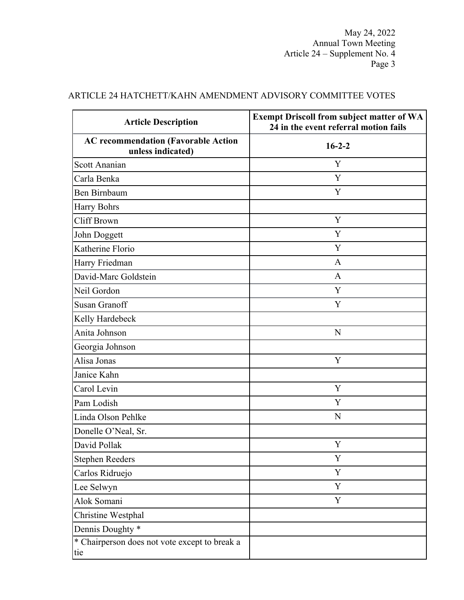| <b>Article Description</b>                                      | <b>Exempt Driscoll from subject matter of WA</b><br>24 in the event referral motion fails<br>$16 - 2 - 2$ |  |  |
|-----------------------------------------------------------------|-----------------------------------------------------------------------------------------------------------|--|--|
| <b>AC recommendation (Favorable Action</b><br>unless indicated) |                                                                                                           |  |  |
| Scott Ananian                                                   | Y                                                                                                         |  |  |
| Carla Benka                                                     | Y                                                                                                         |  |  |
| Ben Birnbaum                                                    | Y                                                                                                         |  |  |
| <b>Harry Bohrs</b>                                              |                                                                                                           |  |  |
| Cliff Brown                                                     | Y                                                                                                         |  |  |
| John Doggett                                                    | Y                                                                                                         |  |  |
| Katherine Florio                                                | Y                                                                                                         |  |  |
| Harry Friedman                                                  | A                                                                                                         |  |  |
| David-Marc Goldstein                                            | A                                                                                                         |  |  |
| Neil Gordon                                                     | Y                                                                                                         |  |  |
| <b>Susan Granoff</b>                                            | Y                                                                                                         |  |  |
| Kelly Hardebeck                                                 |                                                                                                           |  |  |
| Anita Johnson                                                   | N                                                                                                         |  |  |
| Georgia Johnson                                                 |                                                                                                           |  |  |
| Alisa Jonas                                                     | Y                                                                                                         |  |  |
| Janice Kahn                                                     |                                                                                                           |  |  |
| Carol Levin                                                     | Y                                                                                                         |  |  |
| Pam Lodish                                                      | Y                                                                                                         |  |  |
| Linda Olson Pehlke                                              | N                                                                                                         |  |  |
| Donelle O'Neal, Sr.                                             |                                                                                                           |  |  |
| David Pollak                                                    | Y                                                                                                         |  |  |
| <b>Stephen Reeders</b>                                          | Y                                                                                                         |  |  |
| Carlos Ridruejo                                                 | Y                                                                                                         |  |  |
| Lee Selwyn                                                      | Y                                                                                                         |  |  |
| Alok Somani                                                     | Y                                                                                                         |  |  |
| Christine Westphal                                              |                                                                                                           |  |  |
| Dennis Doughty *                                                |                                                                                                           |  |  |
| * Chairperson does not vote except to break a<br>tie            |                                                                                                           |  |  |

# ARTICLE 24 HATCHETT/KAHN AMENDMENT ADVISORY COMMITTEE VOTES